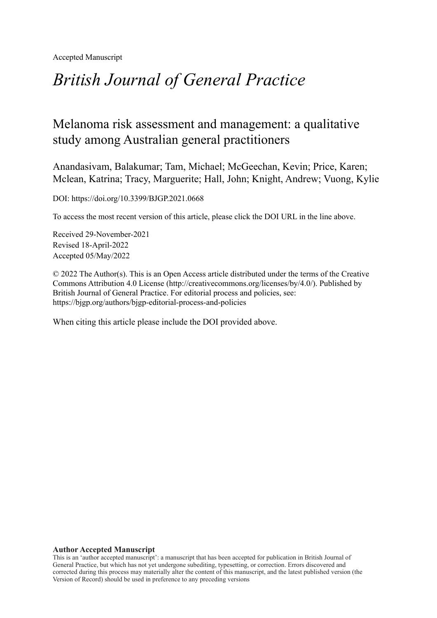Accepted Manuscript

# *British Journal of General Practice*

## Melanoma risk assessment and management: a qualitative study among Australian general practitioners

Anandasivam, Balakumar; Tam, Michael; McGeechan, Kevin; Price, Karen; Mclean, Katrina; Tracy, Marguerite; Hall, John; Knight, Andrew; Vuong, Kylie

DOI: https://doi.org/10.3399/BJGP.2021.0668

To access the most recent version of this article, please click the DOI URL in the line above.

Received 29-November-2021 Revised 18-April-2022 Accepted 05/May/2022

© 2022 The Author(s). This is an Open Access article distributed under the terms of the Creative Commons Attribution 4.0 License [\(http://creativecommons.org/licenses/by/4.0/](http://creativecommons.org/licenses/by/4.0/)). Published by British Journal of General Practice. For editorial process and policies, see: <https://bjgp.org/authors/bjgp-editorial-process-and-policies>

When citing this article please include the DOI provided above.

#### **Author Accepted Manuscript**

This is an 'author accepted manuscript': a manuscript that has been accepted for publication in British Journal of General Practice, but which has not yet undergone subediting, typesetting, or correction. Errors discovered and corrected during this process may materially alter the content of this manuscript, and the latest published version (the Version of Record) should be used in preference to any preceding versions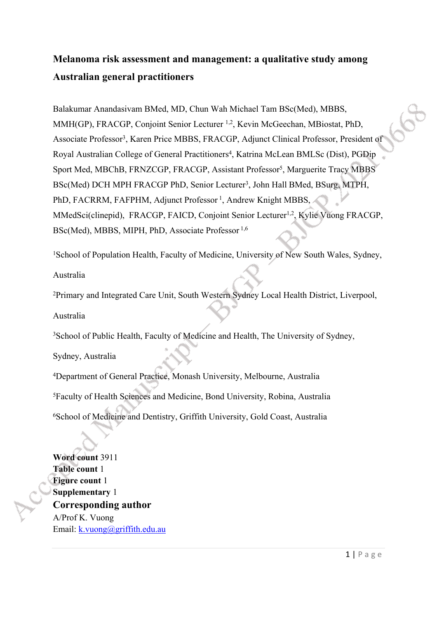## **Melanoma risk assessment and management: a qualitative study among Australian general practitioners**

Balakumar Anandasivam BMed, MD, Chun Wah Michael Tam BSc(Med), MBBS, MMH(GP), FRACGP, Conjoint Senior Lecturer 1,2, Kevin McGeechan, MBiostat, PhD, Associate Professor<sup>3</sup> , Karen Price MBBS, FRACGP, Adjunct Clinical Professor, President of Royal Australian College of General Practitioners<sup>4</sup>, Katrina McLean BMLSc (Dist), PGDip Sport Med, MBChB, FRNZCGP, FRACGP, Assistant Professor<sup>5</sup>, Marguerite Tracy MBBS BSc(Med) DCH MPH FRACGP PhD, Senior Lecturer<sup>3</sup>, John Hall BMed, BSurg, MTPH, PhD, FACRRM, FAFPHM, Adjunct Professor<sup>1</sup>, Andrew Knight MBBS, MMedSci(clinepid), FRACGP, FAICD, Conjoint Senior Lecturer<sup>1,2</sup>, Kylie Vuong FRACGP, BSc(Med), MBBS, MIPH, PhD, Associate Professor 1,6

<sup>1</sup>School of Population Health, Faculty of Medicine, University of New South Wales, Sydney,

Australia

<sup>2</sup>Primary and Integrated Care Unit, South Western Sydney Local Health District, Liverpool,

Australia

<sup>3</sup>School of Public Health, Faculty of Medicine and Health, The University of Sydney,

Sydney, Australia

<sup>4</sup>Department of General Practice, Monash University, Melbourne, Australia <sup>5</sup>Faculty of Health Sciences and Medicine, Bond University, Robina, Australia <sup>6</sup>School of Medicine and Dentistry, Griffith University, Gold Coast, Australia

**Word count** 3911 **Table count** 1 **Figure count** 1 **Supplementary** 1 **Corresponding author** A/Prof K. Vuong Email: [k.vuong@griffith.edu.au](mailto:k.vuong@griffith.edu.au)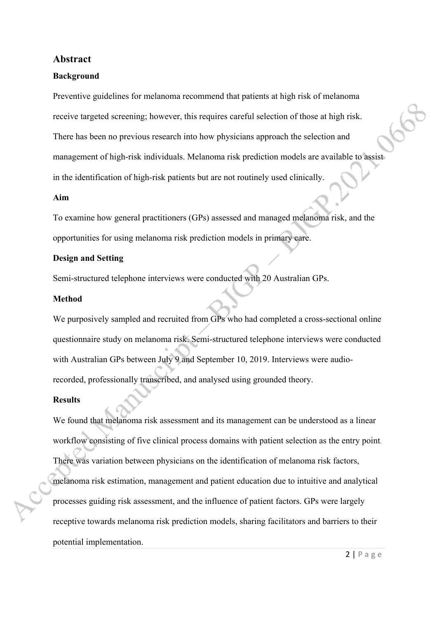#### **Abstract**

#### **Background**

Preventive guidelines for melanoma recommend that patients at high risk of melanoma receive targeted screening; however, this requires careful selection of those at high risk. There has been no previous research into how physicians approach the selection and management of high-risk individuals. Melanoma risk prediction models are available to assist in the identification of high-risk patients but are not routinely used clinically.

#### **Aim**

To examine how general practitioners (GPs) assessed and managed melanoma risk, and the opportunities for using melanoma risk prediction models in primary care.

#### **Design and Setting**

Semi-structured telephone interviews were conducted with 20 Australian GPs.

#### **Method**

We purposively sampled and recruited from GPs who had completed a cross-sectional online questionnaire study on melanoma risk. Semi-structured telephone interviews were conducted with Australian GPs between July 9 and September 10, 2019. Interviews were audiorecorded, professionally transcribed, and analysed using grounded theory.

#### **Results**

We found that melanoma risk assessment and its management can be understood as a linear workflow consisting of five clinical process domains with patient selection as the entry point. There was variation between physicians on the identification of melanoma risk factors, melanoma risk estimation, management and patient education due to intuitive and analytical processes guiding risk assessment, and the influence of patient factors. GPs were largely receptive towards melanoma risk prediction models, sharing facilitators and barriers to their potential implementation.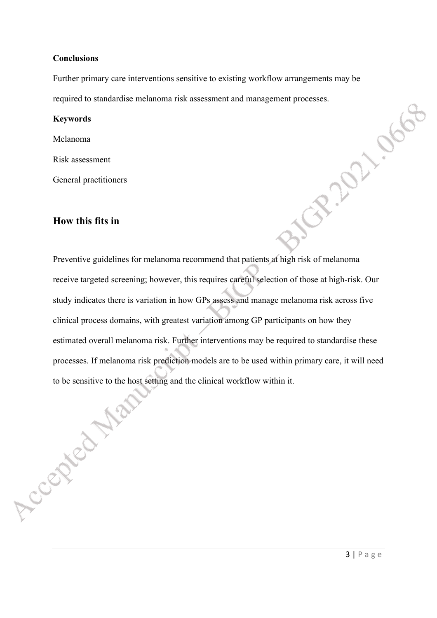#### **Conclusions**

Further primary care interventions sensitive to existing workflow arrangements may be required to standardise melanoma risk assessment and management processes.<br> **Keywords**<br>
Melanoma<br>
Risk assessment<br>
General practitioners<br> **How this fits in** 

#### **Keywords**

Melanoma

Risk assessment

General practitioners

## **How this fits in**

Preventive guidelines for melanoma recommend that patients at high risk of melanoma receive targeted screening; however, this requires careful selection of those at high-risk. Our study indicates there is variation in how GPs assess and manage melanoma risk across five clinical process domains, with greatest variation among GP participants on how they estimated overall melanoma risk. Further interventions may be required to standardise these processes. If melanoma risk prediction models are to be used within primary care, it will need<br>to be sensitive to the host setting and the clinical workflow within it. to be sensitive to the host setting and the clinical workflow within it.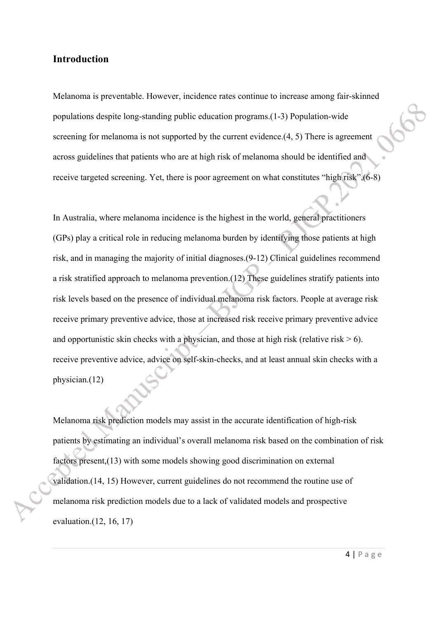### **Introduction**

Melanoma is preventable. However, incidence rates continue to increase among fair-skinned populations despite long-standing public education programs.(1-3) Population-wide screening for melanoma is not supported by the current evidence.(4, 5) There is agreement across guidelines that patients who are at high risk of melanoma should be identified and receive targeted screening. Yet, there is poor agreement on what constitutes "high risk".(6-8)

In Australia, where melanoma incidence is the highest in the world, general practitioners (GPs) play a critical role in reducing melanoma burden by identifying those patients at high risk, and in managing the majority of initial diagnoses.(9-12) Clinical guidelines recommend a risk stratified approach to melanoma prevention.(12) These guidelines stratify patients into risk levels based on the presence of individual melanoma risk factors. People at average risk receive primary preventive advice, those at increased risk receive primary preventive advice and opportunistic skin checks with a physician, and those at high risk (relative risk  $> 6$ ). receive preventive advice, advice on self-skin-checks, and at least annual skin checks with a physician.(12)

Melanoma risk prediction models may assist in the accurate identification of high-risk patients by estimating an individual's overall melanoma risk based on the combination of risk factors present,(13) with some models showing good discrimination on external validation.(14, 15) However, current guidelines do not recommend the routine use of melanoma risk prediction models due to a lack of validated models and prospective evaluation.(12, 16, 17)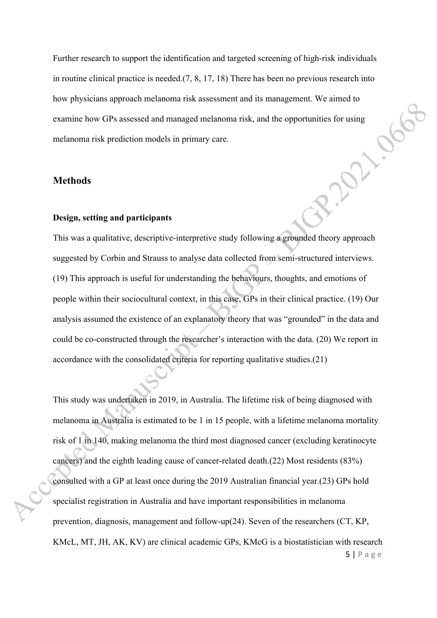Further research to support the identification and targeted screening of high-risk individuals in routine clinical practice is needed.(7, 8, 17, 18) There has been no previous research into how physicians approach melanoma risk assessment and its management. We aimed to examine how GPs assessed and managed melanoma risk, and the opportunities for using melanoma risk prediction models in primary care. examine how GPs assessed and managed melanoma risk, and the opportunities for using melanoma risk prediction models in primary care.

### **Methods**

#### **Design, setting and participants**

This was a qualitative, descriptive-interpretive study following a grounded theory approach suggested by Corbin and Strauss to analyse data collected from semi-structured interviews. (19) This approach is useful for understanding the behaviours, thoughts, and emotions of people within their sociocultural context, in this case, GPs in their clinical practice. (19) Our analysis assumed the existence of an explanatory theory that was "grounded" in the data and could be co-constructed through the researcher's interaction with the data. (20) We report in accordance with the consolidated criteria for reporting qualitative studies.(21)

This study was undertaken in 2019, in Australia. The lifetime risk of being diagnosed with melanoma in Australia is estimated to be 1 in 15 people, with a lifetime melanoma mortality risk of 1 in 140, making melanoma the third most diagnosed cancer (excluding keratinocyte cancers) and the eighth leading cause of cancer-related death.(22) Most residents (83%) consulted with a GP at least once during the 2019 Australian financial year.(23) GPs hold specialist registration in Australia and have important responsibilities in melanoma prevention, diagnosis, management and follow-up(24). Seven of the researchers (CT, KP, KMcL, MT, JH, AK, KV) are clinical academic GPs, KMcG is a biostatistician with research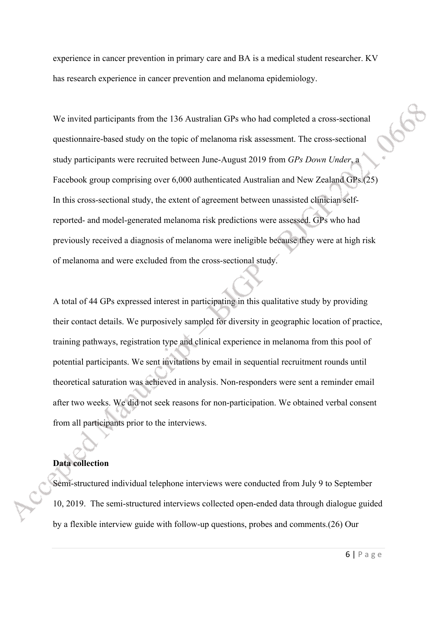experience in cancer prevention in primary care and BA is a medical student researcher. KV has research experience in cancer prevention and melanoma epidemiology.

We invited participants from the 136 Australian GPs who had completed a cross-sectional questionnaire-based study on the topic of melanoma risk assessment. The cross-sectional study participants were recruited between June-August 2019 from *GPs Down Under*, a Facebook group comprising over 6,000 authenticated Australian and New Zealand GPs.(25) In this cross-sectional study, the extent of agreement between unassisted clinician selfreported- and model-generated melanoma risk predictions were assessed. GPs who had previously received a diagnosis of melanoma were ineligible because they were at high risk of melanoma and were excluded from the cross-sectional study.

A total of 44 GPs expressed interest in participating in this qualitative study by providing their contact details. We purposively sampled for diversity in geographic location of practice, training pathways, registration type and clinical experience in melanoma from this pool of potential participants. We sent invitations by email in sequential recruitment rounds until theoretical saturation was achieved in analysis. Non-responders were sent a reminder email after two weeks. We did not seek reasons for non-participation. We obtained verbal consent from all participants prior to the interviews.

## **Data collection**

Semi-structured individual telephone interviews were conducted from July 9 to September 10, 2019. The semi-structured interviews collected open-ended data through dialogue guided by a flexible interview guide with follow-up questions, probes and comments.(26) Our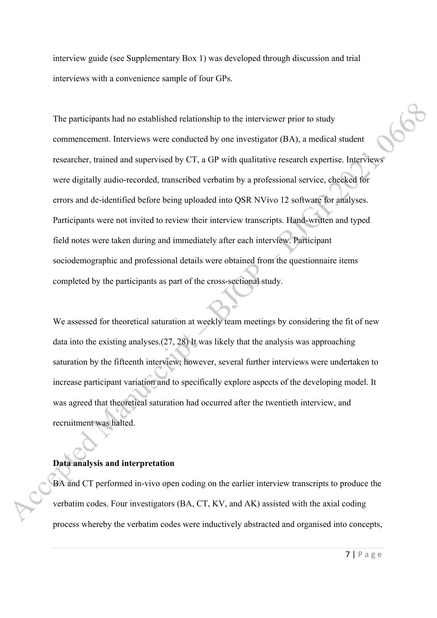interview guide (see Supplementary Box 1) was developed through discussion and trial interviews with a convenience sample of four GPs.

The participants had no established relationship to the interviewer prior to study commencement. Interviews were conducted by one investigator (BA), a medical student researcher, trained and supervised by CT, a GP with qualitative research expertise. Interviews were digitally audio-recorded, transcribed verbatim by a professional service, checked for errors and de-identified before being uploaded into QSR NVivo 12 software for analyses. Participants were not invited to review their interview transcripts. Hand-written and typed field notes were taken during and immediately after each interview. Participant sociodemographic and professional details were obtained from the questionnaire items completed by the participants as part of the cross-sectional study.

We assessed for theoretical saturation at weekly team meetings by considering the fit of new data into the existing analyses.(27, 28) It was likely that the analysis was approaching saturation by the fifteenth interview; however, several further interviews were undertaken to increase participant variation and to specifically explore aspects of the developing model. It was agreed that theoretical saturation had occurred after the twentieth interview, and recruitment was halted.

#### **Data analysis and interpretation**

BA and CT performed in-vivo open coding on the earlier interview transcripts to produce the verbatim codes. Four investigators (BA, CT, KV, and AK) assisted with the axial coding process whereby the verbatim codes were inductively abstracted and organised into concepts,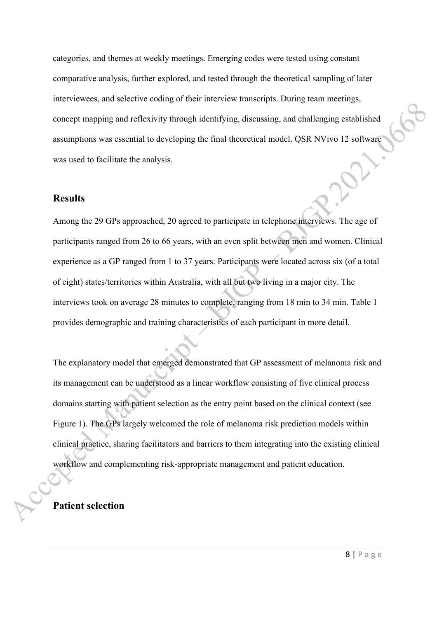categories, and themes at weekly meetings. Emerging codes were tested using constant comparative analysis, further explored, and tested through the theoretical sampling of later interviewees, and selective coding of their interview transcripts. During team meetings, concept mapping and reflexivity through identifying, discussing, and challenging established assumptions was essential to developing the final theoretical model. QSR NVivo 12 software was used to facilitate the analysis.

### **Results**

Among the 29 GPs approached, 20 agreed to participate in telephone interviews. The age of participants ranged from 26 to 66 years, with an even split between men and women. Clinical experience as a GP ranged from 1 to 37 years. Participants were located across six (of a total of eight) states/territories within Australia, with all but two living in a major city. The interviews took on average 28 minutes to complete, ranging from 18 min to 34 min. Table 1 provides demographic and training characteristics of each participant in more detail.

The explanatory model that emerged demonstrated that GP assessment of melanoma risk and its management can be understood as a linear workflow consisting of five clinical process domains starting with patient selection as the entry point based on the clinical context (see Figure 1). The GPs largely welcomed the role of melanoma risk prediction models within clinical practice, sharing facilitators and barriers to them integrating into the existing clinical workflow and complementing risk-appropriate management and patient education.

## **Patient selection**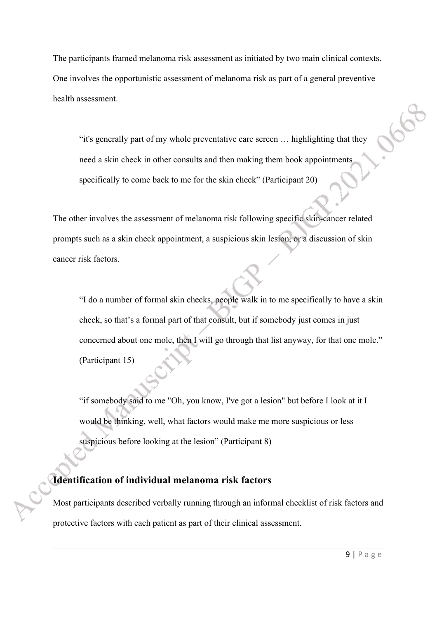The participants framed melanoma risk assessment as initiated by two main clinical contexts. One involves the opportunistic assessment of melanoma risk as part of a general preventive health assessment.

"it's generally part of my whole preventative care screen … highlighting that they need a skin check in other consults and then making them book appointments specifically to come back to me for the skin check" (Participant 20)

The other involves the assessment of melanoma risk following specific skin-cancer related prompts such as a skin check appointment, a suspicious skin lesion, or a discussion of skin cancer risk factors.

"I do a number of formal skin checks, people walk in to me specifically to have a skin check, so that's a formal part of that consult, but if somebody just comes in just concerned about one mole, then I will go through that list anyway, for that one mole." (Participant 15)

"if somebody said to me "Oh, you know, I've got a lesion" but before I look at it I would be thinking, well, what factors would make me more suspicious or less suspicious before looking at the lesion" (Participant 8)

## **Identification of individual melanoma risk factors**

Most participants described verbally running through an informal checklist of risk factors and protective factors with each patient as part of their clinical assessment.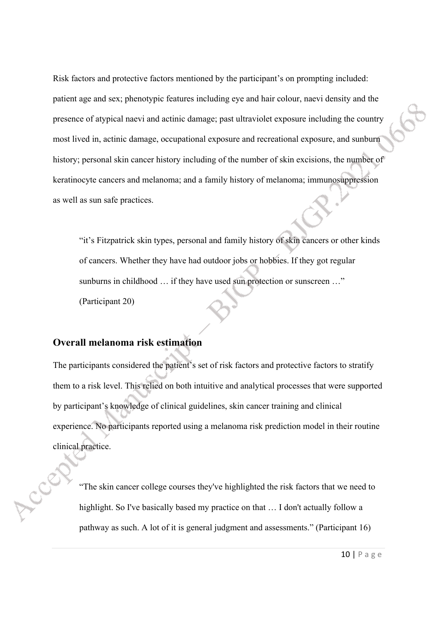Risk factors and protective factors mentioned by the participant's on prompting included: patient age and sex; phenotypic features including eye and hair colour, naevi density and the presence of atypical naevi and actinic damage; past ultraviolet exposure including the country most lived in, actinic damage, occupational exposure and recreational exposure, and sunburn history; personal skin cancer history including of the number of skin excisions, the number of keratinocyte cancers and melanoma; and a family history of melanoma; immunosuppression as well as sun safe practices.

"it's Fitzpatrick skin types, personal and family history of skin cancers or other kinds of cancers. Whether they have had outdoor jobs or hobbies. If they got regular sunburns in childhood ... if they have used sun protection or sunscreen ..." (Participant 20)

## **Overall melanoma risk estimation**

The participants considered the patient's set of risk factors and protective factors to stratify them to a risk level. This relied on both intuitive and analytical processes that were supported by participant's knowledge of clinical guidelines, skin cancer training and clinical experience. No participants reported using a melanoma risk prediction model in their routine clinical practice.

"The skin cancer college courses they've highlighted the risk factors that we need to highlight. So I've basically based my practice on that … I don't actually follow a pathway as such. A lot of it is general judgment and assessments." (Participant 16)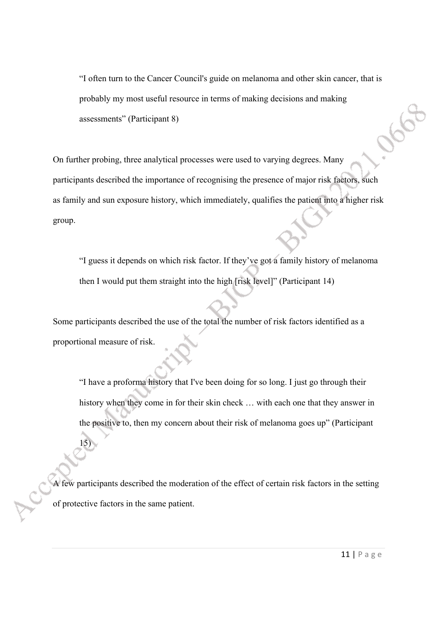"I often turn to the Cancer Council's guide on melanoma and other skin cancer, that is probably my most useful resource in terms of making decisions and making assessments" (Participant 8)

On further probing, three analytical processes were used to varying degrees. Many participants described the importance of recognising the presence of major risk factors, such as family and sun exposure history, which immediately, qualifies the patient into a higher risk group.

"I guess it depends on which risk factor. If they've got a family history of melanoma then I would put them straight into the high [risk level]" (Participant 14)

Some participants described the use of the total the number of risk factors identified as a proportional measure of risk.

"I have a proforma history that I've been doing for so long. I just go through their history when they come in for their skin check … with each one that they answer in the positive to, then my concern about their risk of melanoma goes up" (Participant

A few participants described the moderation of the effect of certain risk factors in the setting of protective factors in the same patient.

15)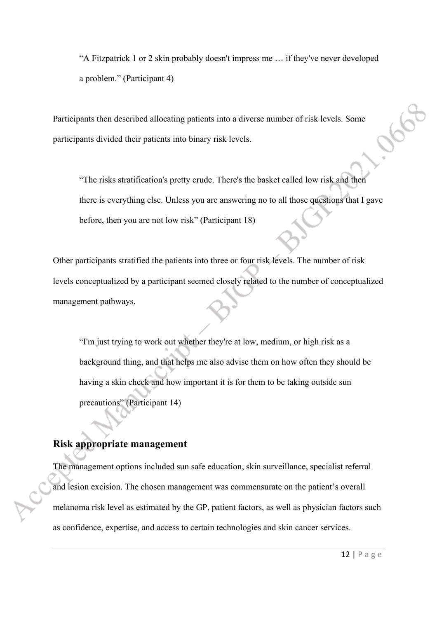"A Fitzpatrick 1 or 2 skin probably doesn't impress me … if they've never developed a problem." (Participant 4)

Participants then described allocating patients into a diverse number of risk levels. Some participants divided their patients into binary risk levels.

"The risks stratification's pretty crude. There's the basket called low risk and then there is everything else. Unless you are answering no to all those questions that I gave before, then you are not low risk" (Participant 18)

Other participants stratified the patients into three or four risk levels. The number of risk levels conceptualized by a participant seemed closely related to the number of conceptualized management pathways.

"I'm just trying to work out whether they're at low, medium, or high risk as a background thing, and that helps me also advise them on how often they should be having a skin check and how important it is for them to be taking outside sun precautions" (Participant 14)

### **Risk appropriate management**

The management options included sun safe education, skin surveillance, specialist referral and lesion excision. The chosen management was commensurate on the patient's overall melanoma risk level as estimated by the GP, patient factors, as well as physician factors such as confidence, expertise, and access to certain technologies and skin cancer services.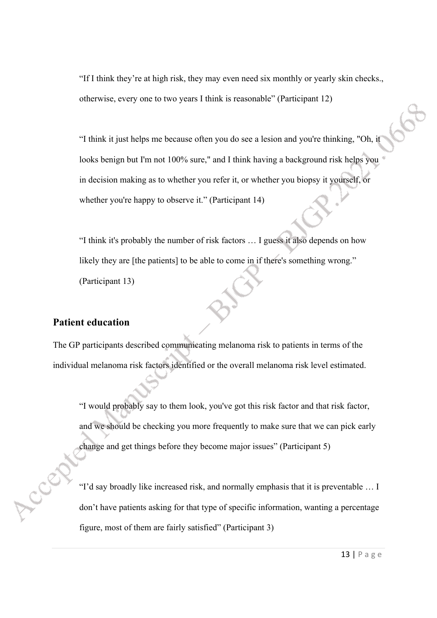"If I think they're at high risk, they may even need six monthly or yearly skin checks., otherwise, every one to two years I think is reasonable" (Participant 12)

"I think it just helps me because often you do see a lesion and you're thinking, "Oh, it looks benign but I'm not 100% sure," and I think having a background risk helps you in decision making as to whether you refer it, or whether you biopsy it yourself, or whether you're happy to observe it." (Participant 14)

"I think it's probably the number of risk factors … I guess it also depends on how likely they are [the patients] to be able to come in if there's something wrong." (Participant 13)

#### **Patient education**

The GP participants described communicating melanoma risk to patients in terms of the individual melanoma risk factors identified or the overall melanoma risk level estimated.

"I would probably say to them look, you've got this risk factor and that risk factor, and we should be checking you more frequently to make sure that we can pick early change and get things before they become major issues" (Participant 5)

"I'd say broadly like increased risk, and normally emphasis that it is preventable … I don't have patients asking for that type of specific information, wanting a percentage figure, most of them are fairly satisfied" (Participant 3)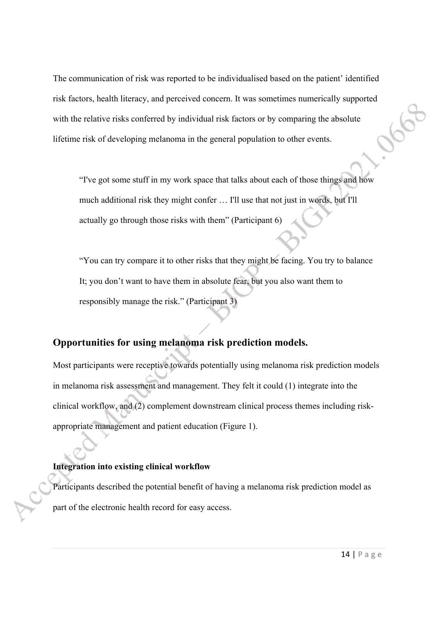The communication of risk was reported to be individualised based on the patient' identified risk factors, health literacy, and perceived concern. It was sometimes numerically supported with the relative risks conferred by individual risk factors or by comparing the absolute lifetime risk of developing melanoma in the general population to other events.

"I've got some stuff in my work space that talks about each of those things and how much additional risk they might confer … I'll use that not just in words, but I'll actually go through those risks with them" (Participant 6)

"You can try compare it to other risks that they might be facing. You try to balance It; you don't want to have them in absolute fear, but you also want them to responsibly manage the risk." (Participant 3)

### **Opportunities for using melanoma risk prediction models.**

Most participants were receptive towards potentially using melanoma risk prediction models in melanoma risk assessment and management. They felt it could (1) integrate into the clinical workflow, and (2) complement downstream clinical process themes including riskappropriate management and patient education (Figure 1).

### **Integration into existing clinical workflow**

Participants described the potential benefit of having a melanoma risk prediction model as part of the electronic health record for easy access.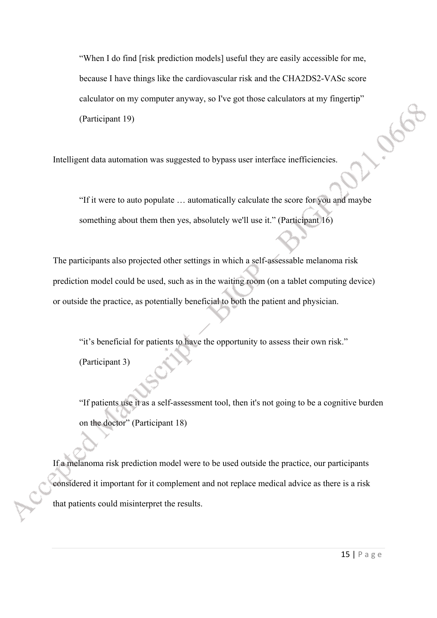"When I do find [risk prediction models] useful they are easily accessible for me, because I have things like the cardiovascular risk and the CHA2DS2-VASc score calculator on my computer anyway, so I've got those calculators at my fingertip" (Participant 19)

Intelligent data automation was suggested to bypass user interface inefficiencies.

"If it were to auto populate … automatically calculate the score for you and maybe something about them then yes, absolutely we'll use it." (Participant 16)

The participants also projected other settings in which a self-assessable melanoma risk prediction model could be used, such as in the waiting room (on a tablet computing device) or outside the practice, as potentially beneficial to both the patient and physician.

"it's beneficial for patients to have the opportunity to assess their own risk." (Participant 3)

"If patients use it as a self-assessment tool, then it's not going to be a cognitive burden on the doctor" (Participant 18)

If a melanoma risk prediction model were to be used outside the practice, our participants considered it important for it complement and not replace medical advice as there is a risk that patients could misinterpret the results.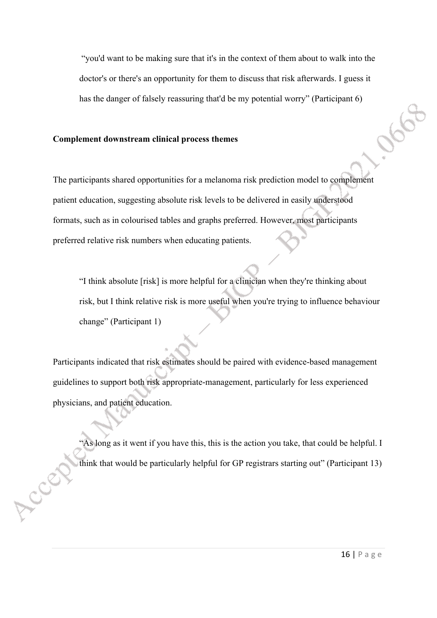"you'd want to be making sure that it's in the context of them about to walk into the doctor's or there's an opportunity for them to discuss that risk afterwards. I guess it has the danger of falsely reassuring that'd be my potential worry" (Participant 6)

#### **Complement downstream clinical process themes**

LCS

The participants shared opportunities for a melanoma risk prediction model to complement patient education, suggesting absolute risk levels to be delivered in easily understood formats, such as in colourised tables and graphs preferred. However, most participants preferred relative risk numbers when educating patients.

"I think absolute [risk] is more helpful for a clinician when they're thinking about risk, but I think relative risk is more useful when you're trying to influence behaviour change" (Participant 1)

Participants indicated that risk estimates should be paired with evidence-based management guidelines to support both risk appropriate-management, particularly for less experienced physicians, and patient education.

"As long as it went if you have this, this is the action you take, that could be helpful. I think that would be particularly helpful for GP registrars starting out" (Participant 13)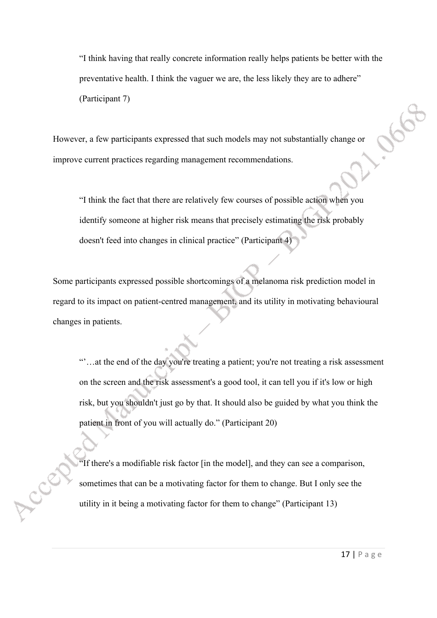"I think having that really concrete information really helps patients be better with the preventative health. I think the vaguer we are, the less likely they are to adhere" (Participant 7)

However, a few participants expressed that such models may not substantially change or improve current practices regarding management recommendations.

"I think the fact that there are relatively few courses of possible action when you identify someone at higher risk means that precisely estimating the risk probably doesn't feed into changes in clinical practice" (Participant 4)

Some participants expressed possible shortcomings of a melanoma risk prediction model in regard to its impact on patient-centred management, and its utility in motivating behavioural changes in patients.

"'…at the end of the day you're treating a patient; you're not treating a risk assessment on the screen and the risk assessment's a good tool, it can tell you if it's low or high risk, but you shouldn't just go by that. It should also be guided by what you think the patient in front of you will actually do." (Participant 20)

"If there's a modifiable risk factor [in the model], and they can see a comparison, sometimes that can be a motivating factor for them to change. But I only see the utility in it being a motivating factor for them to change" (Participant 13)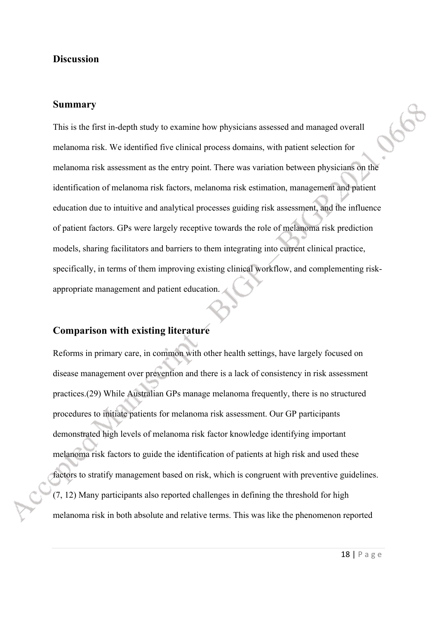### **Discussion**

### **Summary**

This is the first in-depth study to examine how physicians assessed and managed overall melanoma risk. We identified five clinical process domains, with patient selection for melanoma risk assessment as the entry point. There was variation between physicians on the identification of melanoma risk factors, melanoma risk estimation, management and patient education due to intuitive and analytical processes guiding risk assessment, and the influence of patient factors. GPs were largely receptive towards the role of melanoma risk prediction models, sharing facilitators and barriers to them integrating into current clinical practice, specifically, in terms of them improving existing clinical workflow, and complementing riskappropriate management and patient education.

#### **Comparison with existing literature**

Reforms in primary care, in common with other health settings, have largely focused on disease management over prevention and there is a lack of consistency in risk assessment practices.(29) While Australian GPs manage melanoma frequently, there is no structured procedures to initiate patients for melanoma risk assessment. Our GP participants demonstrated high levels of melanoma risk factor knowledge identifying important melanoma risk factors to guide the identification of patients at high risk and used these factors to stratify management based on risk, which is congruent with preventive guidelines. (7, 12) Many participants also reported challenges in defining the threshold for high melanoma risk in both absolute and relative terms. This was like the phenomenon reported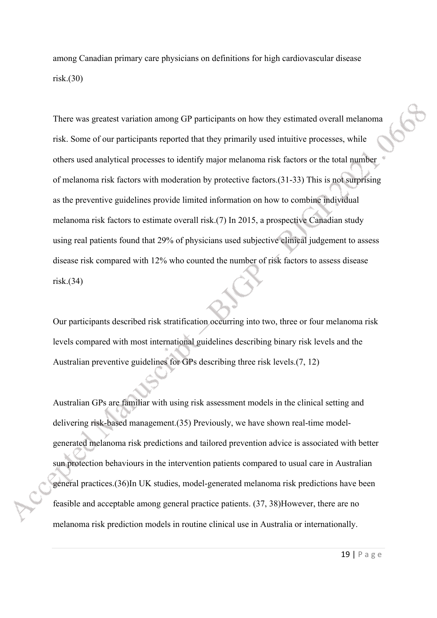among Canadian primary care physicians on definitions for high cardiovascular disease risk.(30)

There was greatest variation among GP participants on how they estimated overall melanoma risk. Some of our participants reported that they primarily used intuitive processes, while others used analytical processes to identify major melanoma risk factors or the total number of melanoma risk factors with moderation by protective factors.(31-33) This is not surprising as the preventive guidelines provide limited information on how to combine individual melanoma risk factors to estimate overall risk.(7) In 2015, a prospective Canadian study using real patients found that 29% of physicians used subjective clinical judgement to assess disease risk compared with 12% who counted the number of risk factors to assess disease risk.(34)

Our participants described risk stratification occurring into two, three or four melanoma risk levels compared with most international guidelines describing binary risk levels and the Australian preventive guidelines for GPs describing three risk levels.(7, 12)

Australian GPs are familiar with using risk assessment models in the clinical setting and delivering risk-based management.(35) Previously, we have shown real-time modelgenerated melanoma risk predictions and tailored prevention advice is associated with better sun protection behaviours in the intervention patients compared to usual care in Australian general practices.(36)In UK studies, model-generated melanoma risk predictions have been feasible and acceptable among general practice patients. (37, 38)However, there are no melanoma risk prediction models in routine clinical use in Australia or internationally.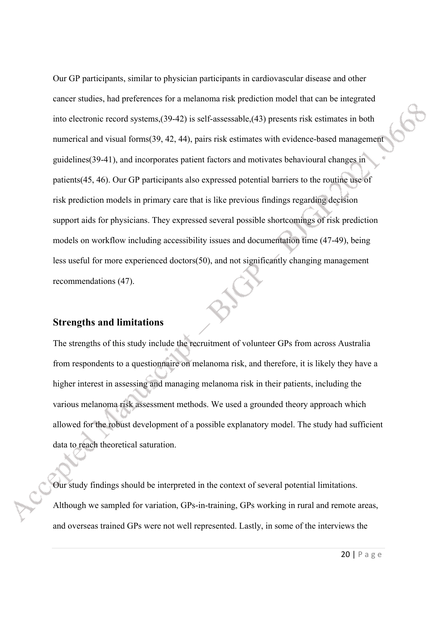Our GP participants, similar to physician participants in cardiovascular disease and other cancer studies, had preferences for a melanoma risk prediction model that can be integrated into electronic record systems,(39-42) is self-assessable,(43) presents risk estimates in both numerical and visual forms(39, 42, 44), pairs risk estimates with evidence-based management guidelines(39-41), and incorporates patient factors and motivates behavioural changes in patients(45, 46). Our GP participants also expressed potential barriers to the routine use of risk prediction models in primary care that is like previous findings regarding decision support aids for physicians. They expressed several possible shortcomings of risk prediction models on workflow including accessibility issues and documentation time (47-49), being less useful for more experienced doctors(50), and not significantly changing management recommendations (47).

#### **Strengths and limitations**

The strengths of this study include the recruitment of volunteer GPs from across Australia from respondents to a questionnaire on melanoma risk, and therefore, it is likely they have a higher interest in assessing and managing melanoma risk in their patients, including the various melanoma risk assessment methods. We used a grounded theory approach which allowed for the robust development of a possible explanatory model. The study had sufficient data to reach theoretical saturation.

Our study findings should be interpreted in the context of several potential limitations. Although we sampled for variation, GPs-in-training, GPs working in rural and remote areas, and overseas trained GPs were not well represented. Lastly, in some of the interviews the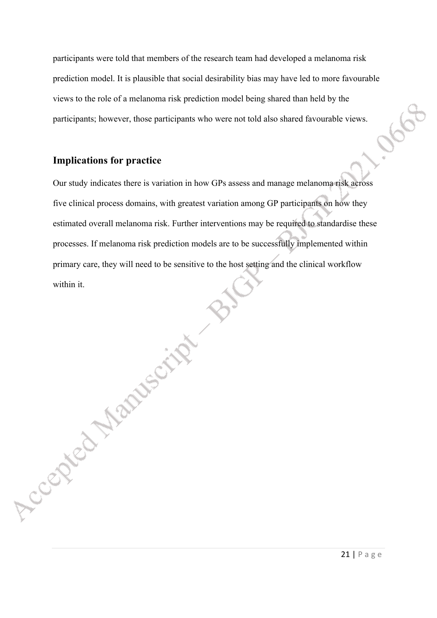participants were told that members of the research team had developed a melanoma risk prediction model. It is plausible that social desirability bias may have led to more favourable views to the role of a melanoma risk prediction model being shared than held by the participants; however, those participants who were not told also shared favourable views.

## **Implications for practice**

Accepted Manuscript

Our study indicates there is variation in how GPs assess and manage melanoma risk across five clinical process domains, with greatest variation among GP participants on how they estimated overall melanoma risk. Further interventions may be required to standardise these processes. If melanoma risk prediction models are to be successfully implemented within primary care, they will need to be sensitive to the host setting and the clinical workflow within it.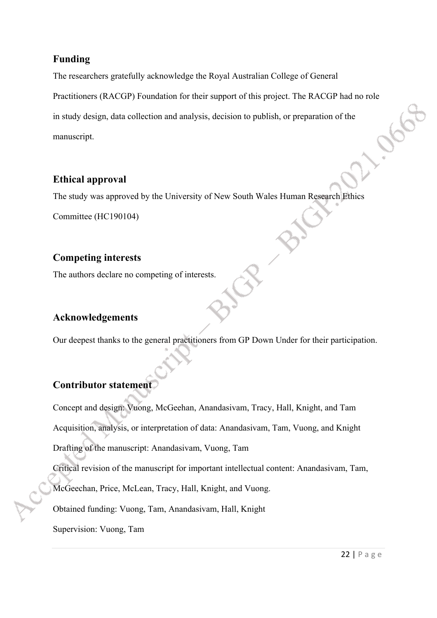## **Funding**

The researchers gratefully acknowledge the Royal Australian College of General

Practitioners (RACGP) Foundation for their support of this project. The RACGP had no role<br>in study design, data collection and analysis, decision to publish, or preparation of the<br>manuscript. in study design, data collection and analysis, decision to publish, or preparation of the manuscript.

## **Ethical approval**

The study was approved by the University of New South Wales Human Research Ethics

Committee (HC190104)

## **Competing interests**

The authors declare no competing of interests.

## **Acknowledgements**

Our deepest thanks to the general practitioners from GP Down Under for their participation.

## **Contributor statement**

Concept and design: Vuong, McGeehan, Anandasivam, Tracy, Hall, Knight, and Tam Acquisition, analysis, or interpretation of data: Anandasivam, Tam, Vuong, and Knight Drafting of the manuscript: Anandasivam, Vuong, Tam

Critical revision of the manuscript for important intellectual content: Anandasivam, Tam,

McGeechan, Price, McLean, Tracy, Hall, Knight, and Vuong.

Obtained funding: Vuong, Tam, Anandasivam, Hall, Knight

Supervision: Vuong, Tam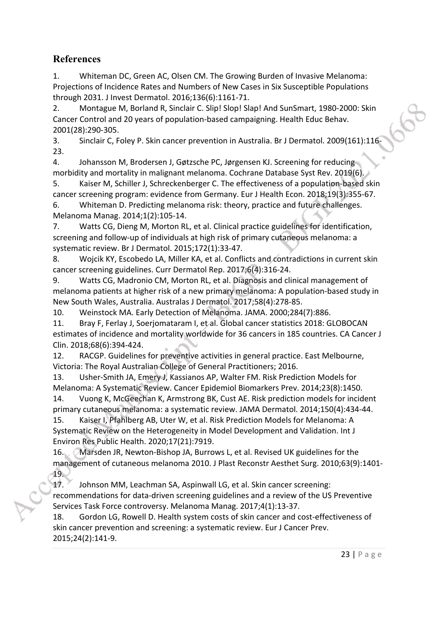## **References**

1. Whiteman DC, Green AC, Olsen CM. The Growing Burden of Invasive Melanoma: Projections of Incidence Rates and Numbers of New Cases in Six Susceptible Populations through 2031. J Invest Dermatol. 2016;136(6):1161-71.

2. Montague M, Borland R, Sinclair C. Slip! Slop! Slap! And SunSmart, 1980-2000: Skin Cancer Control and 20 years of population-based campaigning. Health Educ Behav. 2001(28):290-305.

3. Sinclair C, Foley P. Skin cancer prevention in Australia. Br J Dermatol. 2009(161):116- 23.

4. Johansson M, Brodersen J, Gøtzsche PC, Jørgensen KJ. Screening for reducing morbidity and mortality in malignant melanoma. Cochrane Database Syst Rev. 2019(6).

5. Kaiser M, Schiller J, Schreckenberger C. The effectiveness of a population-based skin cancer screening program: evidence from Germany. Eur J Health Econ. 2018;19(3):355-67. 6. Whiteman D. Predicting melanoma risk: theory, practice and future challenges.

Melanoma Manag. 2014;1(2):105-14.

7. Watts CG, Dieng M, Morton RL, et al. Clinical practice guidelines for identification, screening and follow-up of individuals at high risk of primary cutaneous melanoma: a systematic review. Br J Dermatol. 2015;172(1):33-47.

8. Wojcik KY, Escobedo LA, Miller KA, et al. Conflicts and contradictions in current skin cancer screening guidelines. Curr Dermatol Rep. 2017;6(4):316-24.

9. Watts CG, Madronio CM, Morton RL, et al. Diagnosis and clinical management of melanoma patients at higher risk of a new primary melanoma: A population-based study in New South Wales, Australia. Australas J Dermatol. 2017;58(4):278-85.

10. Weinstock MA. Early Detection of Melanoma. JAMA. 2000;284(7):886.

11. Bray F, Ferlay J, Soerjomataram I, et al. Global cancer statistics 2018: GLOBOCAN estimates of incidence and mortality worldwide for 36 cancers in 185 countries. CA Cancer J Clin. 2018;68(6):394-424.

12. RACGP. Guidelines for preventive activities in general practice. East Melbourne, Victoria: The Royal Australian College of General Practitioners; 2016.

13. Usher-Smith JA, Emery J, Kassianos AP, Walter FM. Risk Prediction Models for Melanoma: A Systematic Review. Cancer Epidemiol Biomarkers Prev. 2014;23(8):1450. 14. Vuong K, McGeechan K, Armstrong BK, Cust AE. Risk prediction models for incident

primary cutaneous melanoma: a systematic review. JAMA Dermatol. 2014;150(4):434-44. 15. Kaiser I, Pfahlberg AB, Uter W, et al. Risk Prediction Models for Melanoma: A Systematic Review on the Heterogeneity in Model Development and Validation. Int J Environ Res Public Health. 2020;17(21):7919.

16. Marsden JR, Newton-Bishop JA, Burrows L, et al. Revised UK guidelines for the management of cutaneous melanoma 2010. J Plast Reconstr Aesthet Surg. 2010;63(9):1401- 19.

17. Johnson MM, Leachman SA, Aspinwall LG, et al. Skin cancer screening: recommendations for data-driven screening guidelines and a review of the US Preventive Services Task Force controversy. Melanoma Manag. 2017;4(1):13-37.

18. Gordon LG, Rowell D. Health system costs of skin cancer and cost-effectiveness of skin cancer prevention and screening: a systematic review. Eur J Cancer Prev. 2015;24(2):141-9.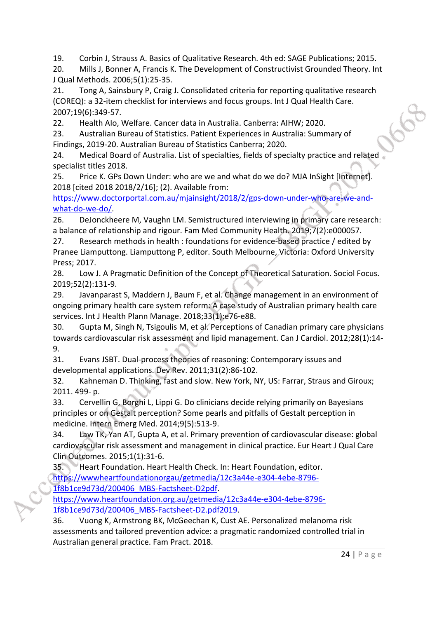19. Corbin J, Strauss A. Basics of Qualitative Research. 4th ed: SAGE Publications; 2015.

20. Mills J, Bonner A, Francis K. The Development of Constructivist Grounded Theory. Int J Qual Methods. 2006;5(1):25-35.

21. Tong A, Sainsbury P, Craig J. Consolidated criteria for reporting qualitative research (COREQ): a 32-item checklist for interviews and focus groups. Int J Qual Health Care. 2007;19(6):349-57.

22. Health AIo, Welfare. Cancer data in Australia. Canberra: AIHW; 2020.

23. Australian Bureau of Statistics. Patient Experiences in Australia: Summary of Findings, 2019-20. Australian Bureau of Statistics Canberra; 2020.

24. Medical Board of Australia. List of specialties, fields of specialty practice and related specialist titles 2018.

25. Price K. GPs Down Under: who are we and what do we do? MJA InSight [Internet]. 2018 [cited 2018 2018/2/16]; (2). Available from:

[https://www.doctorportal.com.au/mjainsight/2018/2/gps-down-under-who-are-we-and](https://www.doctorportal.com.au/mjainsight/2018/2/gps-down-under-who-are-we-and-what-do-we-do/)[what-do-we-do/](https://www.doctorportal.com.au/mjainsight/2018/2/gps-down-under-who-are-we-and-what-do-we-do/).

26. DeJonckheere M, Vaughn LM. Semistructured interviewing in primary care research: a balance of relationship and rigour. Fam Med Community Health. 2019;7(2):e000057.

27. Research methods in health : foundations for evidence-based practice / edited by Pranee Liamputtong. Liamputtong P, editor. South Melbourne, Victoria: Oxford University Press; 2017.

28. Low J. A Pragmatic Definition of the Concept of Theoretical Saturation. Sociol Focus. 2019;52(2):131-9.

29. Javanparast S, Maddern J, Baum F, et al. Change management in an environment of ongoing primary health care system reform: A case study of Australian primary health care services. Int J Health Plann Manage. 2018;33(1):e76-e88.

30. Gupta M, Singh N, Tsigoulis M, et al. Perceptions of Canadian primary care physicians towards cardiovascular risk assessment and lipid management. Can J Cardiol. 2012;28(1):14- 9.

31. Evans JSBT. Dual-process theories of reasoning: Contemporary issues and developmental applications. Dev Rev. 2011;31(2):86-102.

32. Kahneman D. Thinking, fast and slow. New York, NY, US: Farrar, Straus and Giroux; 2011. 499- p.

33. Cervellin G, Borghi L, Lippi G. Do clinicians decide relying primarily on Bayesians principles or on Gestalt perception? Some pearls and pitfalls of Gestalt perception in medicine. Intern Emerg Med. 2014;9(5):513-9.

34. Law TK, Yan AT, Gupta A, et al. Primary prevention of cardiovascular disease: global cardiovascular risk assessment and management in clinical practice. Eur Heart J Qual Care Clin Outcomes. 2015;1(1):31-6.

35. Heart Foundation. Heart Health Check. In: Heart Foundation, editor. [https://wwwheartfoundationorgau/getmedia/12c3a44e-e304-4ebe-8796-](https://wwwheartfoundationorgau/getmedia/12c3a44e-e304-4ebe-8796-1f8b1ce9d73d/200406_MBS-Factsheet-D2pdf) [1f8b1ce9d73d/200406\\_MBS-Factsheet-D2pdf.](https://wwwheartfoundationorgau/getmedia/12c3a44e-e304-4ebe-8796-1f8b1ce9d73d/200406_MBS-Factsheet-D2pdf)

[https://www.heartfoundation.org.au/getmedia/12c3a44e-e304-4ebe-8796-](https://www.heartfoundation.org.au/getmedia/12c3a44e-e304-4ebe-8796-1f8b1ce9d73d/200406_MBS-Factsheet-D2.pdf2019) [1f8b1ce9d73d/200406\\_MBS-Factsheet-D2.pdf2019](https://www.heartfoundation.org.au/getmedia/12c3a44e-e304-4ebe-8796-1f8b1ce9d73d/200406_MBS-Factsheet-D2.pdf2019).

36. Vuong K, Armstrong BK, McGeechan K, Cust AE. Personalized melanoma risk assessments and tailored prevention advice: a pragmatic randomized controlled trial in Australian general practice. Fam Pract. 2018.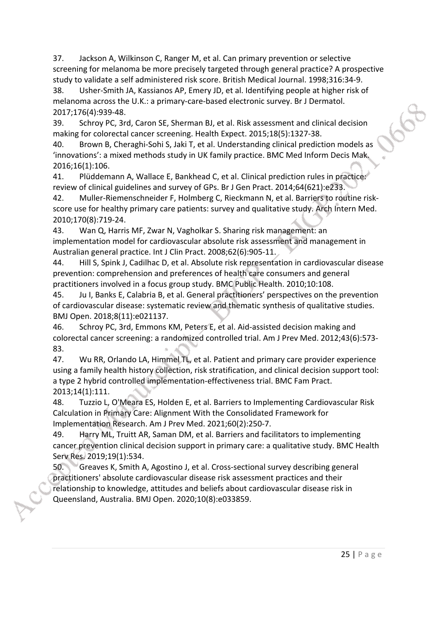37. Jackson A, Wilkinson C, Ranger M, et al. Can primary prevention or selective screening for melanoma be more precisely targeted through general practice? A prospective study to validate a self administered risk score. British Medical Journal. 1998;316:34-9.

38. Usher-Smith JA, Kassianos AP, Emery JD, et al. Identifying people at higher risk of melanoma across the U.K.: a primary-care-based electronic survey. Br J Dermatol. 2017;176(4):939-48.

39. Schroy PC, 3rd, Caron SE, Sherman BJ, et al. Risk assessment and clinical decision making for colorectal cancer screening. Health Expect. 2015;18(5):1327-38.

40. Brown B, Cheraghi-Sohi S, Jaki T, et al. Understanding clinical prediction models as 'innovations': a mixed methods study in UK family practice. BMC Med Inform Decis Mak. 2016;16(1):106.

41. Plüddemann A, Wallace E, Bankhead C, et al. Clinical prediction rules in practice: review of clinical guidelines and survey of GPs. Br J Gen Pract. 2014;64(621):e233.

42. Muller-Riemenschneider F, Holmberg C, Rieckmann N, et al. Barriers to routine riskscore use for healthy primary care patients: survey and qualitative study. Arch Intern Med. 2010;170(8):719-24.

43. Wan Q, Harris MF, Zwar N, Vagholkar S. Sharing risk management: an implementation model for cardiovascular absolute risk assessment and management in Australian general practice. Int J Clin Pract. 2008;62(6):905-11.

44. Hill S, Spink J, Cadilhac D, et al. Absolute risk representation in cardiovascular disease prevention: comprehension and preferences of health care consumers and general practitioners involved in a focus group study. BMC Public Health. 2010;10:108.

45. Ju I, Banks E, Calabria B, et al. General practitioners' perspectives on the prevention of cardiovascular disease: systematic review and thematic synthesis of qualitative studies. BMJ Open. 2018;8(11):e021137.

46. Schroy PC, 3rd, Emmons KM, Peters E, et al. Aid-assisted decision making and colorectal cancer screening: a randomized controlled trial. Am J Prev Med. 2012;43(6):573- 83.

47. Wu RR, Orlando LA, Himmel TL, et al. Patient and primary care provider experience using a family health history collection, risk stratification, and clinical decision support tool: a type 2 hybrid controlled implementation-effectiveness trial. BMC Fam Pract. 2013;14(1):111.

48. Tuzzio L, O'Meara ES, Holden E, et al. Barriers to Implementing Cardiovascular Risk Calculation in Primary Care: Alignment With the Consolidated Framework for Implementation Research. Am J Prev Med. 2021;60(2):250-7.

49. Harry ML, Truitt AR, Saman DM, et al. Barriers and facilitators to implementing cancer prevention clinical decision support in primary care: a qualitative study. BMC Health Serv Res. 2019;19(1):534.

50. Greaves K, Smith A, Agostino J, et al. Cross-sectional survey describing general practitioners' absolute cardiovascular disease risk assessment practices and their relationship to knowledge, attitudes and beliefs about cardiovascular disease risk in Queensland, Australia. BMJ Open. 2020;10(8):e033859.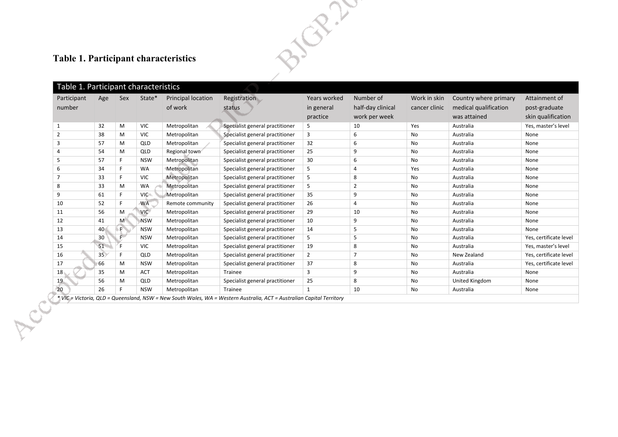## **Table 1. Participant characteristics**

|                                                                                                                       | 21/02/1         |             |            |                                      |                                 |                                        |                                                 |                               |                                                                |                                                      |
|-----------------------------------------------------------------------------------------------------------------------|-----------------|-------------|------------|--------------------------------------|---------------------------------|----------------------------------------|-------------------------------------------------|-------------------------------|----------------------------------------------------------------|------------------------------------------------------|
| <b>Table 1. Participant characteristics</b>                                                                           |                 |             |            |                                      |                                 |                                        |                                                 |                               |                                                                |                                                      |
| Table 1. Participant characteristics                                                                                  |                 |             |            |                                      |                                 |                                        |                                                 |                               |                                                                |                                                      |
| Participant<br>number                                                                                                 | Age             | Sex         | State*     | <b>Principal location</b><br>of work | Registration<br>status          | Years worked<br>in general<br>practice | Number of<br>half-day clinical<br>work per week | Work in skin<br>cancer clinic | Country where primary<br>medical qualification<br>was attained | Attainment of<br>post-graduate<br>skin qualification |
| $\mathbf{1}$                                                                                                          | 32              | M           | <b>VIC</b> | Metropolitan                         | Specialist general practitioner | 5                                      | 10                                              | Yes                           | Australia                                                      | Yes, master's level                                  |
| $\overline{2}$                                                                                                        | 38              | M           | <b>VIC</b> | Metropolitan                         | Specialist general practitioner | 3                                      | 6                                               | No                            | Australia                                                      | None                                                 |
| 3                                                                                                                     | 57              | M           | QLD        | Metropolitan                         | Specialist general practitioner | 32                                     | 6                                               | No                            | Australia                                                      | None                                                 |
| 4                                                                                                                     | 54              | M           | QLD        | Regional town                        | Specialist general practitioner | 25                                     | 9                                               | No                            | Australia                                                      | None                                                 |
| 5                                                                                                                     | 57              | F.          | <b>NSW</b> | Metropolitan                         | Specialist general practitioner | 30                                     | 6                                               | No                            | Australia                                                      | None                                                 |
| 6                                                                                                                     | 34              | F.          | <b>WA</b>  | Metropolitan                         | Specialist general practitioner | 5                                      | $\overline{4}$                                  | Yes                           | Australia                                                      | None                                                 |
| $\overline{7}$                                                                                                        | 33              | F.          | <b>VIC</b> | Metropolitan                         | Specialist general practitioner | 5                                      | 8                                               | No                            | Australia                                                      | None                                                 |
| 8                                                                                                                     | 33              | M           | WA         | Metropolitan                         | Specialist general practitioner | 5                                      | $\overline{2}$                                  | No                            | Australia                                                      | None                                                 |
| 9                                                                                                                     | 61              | F.          | <b>VIC</b> | Metropolitan                         | Specialist general practitioner | 35                                     | 9                                               | No                            | Australia                                                      | None                                                 |
| 10                                                                                                                    | 52              | F.          | <b>WA</b>  | Remote community                     | Specialist general practitioner | 26                                     | 4                                               | No                            | Australia                                                      | None                                                 |
| 11                                                                                                                    | 56              | M           | <b>VIC</b> | Metropolitan                         | Specialist general practitioner | 29                                     | 10                                              | No                            | Australia                                                      | None                                                 |
| 12                                                                                                                    | 41              | M           | <b>NSW</b> | Metropolitan                         | Specialist general practitioner | 10                                     | 9                                               | No                            | Australia                                                      | None                                                 |
| 13                                                                                                                    | 40              | $\mathsf F$ | <b>NSW</b> | Metropolitan                         | Specialist general practitioner | 14                                     | 5                                               | No                            | Australia                                                      | None                                                 |
| 14                                                                                                                    | 30              | $F^{\nu}$   | <b>NSW</b> | Metropolitan                         | Specialist general practitioner | 5                                      | 5                                               | No                            | Australia                                                      | Yes, certificate level                               |
| 15                                                                                                                    | 51              | F.          | <b>VIC</b> | Metropolitan                         | Specialist general practitioner | 19                                     | 8                                               | No                            | Australia                                                      | Yes, master's level                                  |
| 16                                                                                                                    | 35 <sup>2</sup> | F.          | QLD        | Metropolitan                         | Specialist general practitioner | $\overline{2}$                         | $\overline{7}$                                  | No                            | New Zealand                                                    | Yes, certificate level                               |
| 17                                                                                                                    | 66              | M           | <b>NSW</b> | Metropolitan                         | Specialist general practitioner | 37                                     | 8                                               | No                            | Australia                                                      | Yes, certificate level                               |
| 18                                                                                                                    | 35              | M           | <b>ACT</b> | Metropolitan                         | Trainee                         | 3                                      | 9                                               | No                            | Australia                                                      | None                                                 |
| 19                                                                                                                    | 56              | M           | QLD        | Metropolitan                         | Specialist general practitioner | 25                                     | 8                                               | No                            | United Kingdom                                                 | None                                                 |
| 20                                                                                                                    | 26              | F.          | <b>NSW</b> | Metropolitan                         | <b>Trainee</b>                  | 1                                      | 10                                              | No                            | Australia                                                      | None                                                 |
| * VIC = Victoria, QLD = Queensland, NSW = New South Wales, WA = Western Australia, ACT = Australian Capital Territory |                 |             |            |                                      |                                 |                                        |                                                 |                               |                                                                |                                                      |